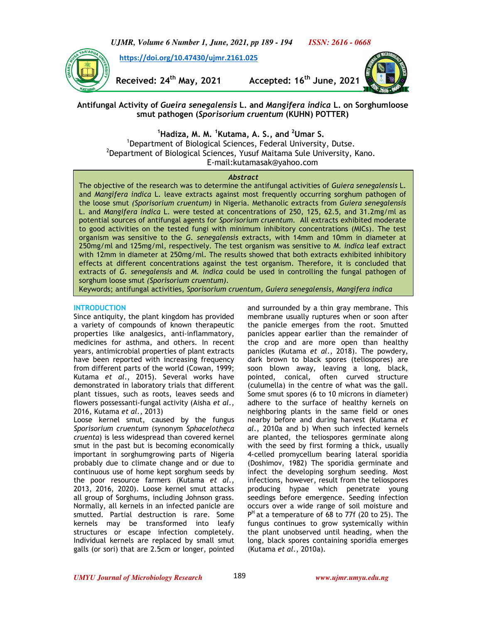

 **https://doi.org/10.47430/ujmr.2161.025**



**Received: 24th May, 2021 Accepted: 16th June, 2021**



**Antifungal Activity of** *Gueira senegalensis* **L. and** *Mangifera indica* **L. on Sorghumloose smut pathogen (***Sporisorium cruentum* **(KUHN) POTTER)** 

**<sup>1</sup>Hadiza, M. M. <sup>1</sup>Kutama, A. S., and <sup>2</sup>Umar S.**

<sup>1</sup>Department of Biological Sciences, Federal University, Dutse. <sup>2</sup>Department of Biological Sciences, Yusuf Maitama Sule University, Kano. E-mail:kutamasak@yahoo.com

### *Abstract*

The objective of the research was to determine the antifungal activities of *Guiera senegalensis* L. and *Mangifera indica* L. leave extracts against most frequently occurring sorghum pathogen of the loose smut *(Sporisorium cruentum)* in Nigeria. Methanolic extracts from *Guiera senegalensis* L. and *Mangifera indica* L. were tested at concentrations of 250, 125, 62.5, and 31.2mg/ml as potential sources of antifungal agents for *Sporisorium cruentum.* All extracts exhibited moderate to good activities on the tested fungi with minimum inhibitory concentrations (MICs). The test organism was sensitive to the *G. senegalensis* extracts, with 14mm and 10mm in diameter at 250mg/ml and 125mg/ml, respectively. The test organism was sensitive to *M. indica* leaf extract with 12mm in diameter at 250mg/ml. The results showed that both extracts exhibited inhibitory effects at different concentrations against the test organism. Therefore, it is concluded that extracts of *G. senegalensis* and *M. indica* could be used in controlling the fungal pathogen of sorghum loose smut *(Sporisorium cruentum).* 

Keywords; antifungal activities, *Sporisorium cruentum, Guiera senegalensis*, *Mangifera indica*

### **INTRODUCTION**

Since antiquity, the plant kingdom has provided a variety of compounds of known therapeutic properties like analgesics, anti-inflammatory, medicines for asthma, and others. In recent years, antimicrobial properties of plant extracts have been reported with increasing frequency from different parts of the world (Cowan, 1999; Kutama *et al.*, 2015). Several works have demonstrated in laboratory trials that different plant tissues, such as roots, leaves seeds and flowers possessanti-fungal activity (Aisha *et al*., 2016, Kutama *et al*., 2013)

Loose kernel smut, caused by the fungus *Sporisorium cruentum* (synonym *Sphacelotheca cruenta*) is less widespread than covered kernel smut in the past but is becoming economically important in sorghumgrowing parts of Nigeria probably due to climate change and or due to continuous use of home kept sorghum seeds by the poor resource farmers (Kutama *et al*., 2013, 2016, 2020). Loose kernel smut attacks all group of Sorghums, including Johnson grass. Normally, all kernels in an infected panicle are smutted. Partial destruction is rare. Some kernels may be transformed into leafy structures or escape infection completely. Individual kernels are replaced by small smut galls (or sori) that are 2.5cm or longer, pointed

and surrounded by a thin gray membrane. This membrane usually ruptures when or soon after the panicle emerges from the root. Smutted panicles appear earlier than the remainder of the crop and are more open than healthy panicles (Kutama *et al*., 2018). The powdery, dark brown to black spores (teliospores) are soon blown away, leaving a long, black, pointed, conical, often curved structure (culumella) in the centre of what was the gall. Some smut spores (6 to 10 microns in diameter) adhere to the surface of healthy kernels on neighboring plants in the same field or ones nearby before and during harvest (Kutama *et al.*, 2010a and b) When such infected kernels are planted, the teliospores germinate along with the seed by first forming a thick, usually 4-celled promycellum bearing lateral sporidia (Doshimov, 1982) The sporidia germinate and infect the developing sorghum seeding. Most infections, however, result from the teliospores producing hypae which penetrate young seedings before emergence. Seeding infection occurs over a wide range of soil moisture and P<sup>H</sup> at a temperature of 68 to 77f (20 to 25). The fungus continues to grow systemically within the plant unobserved until heading, when the long, black spores containing sporidia emerges (Kutama *et al.*, 2010a).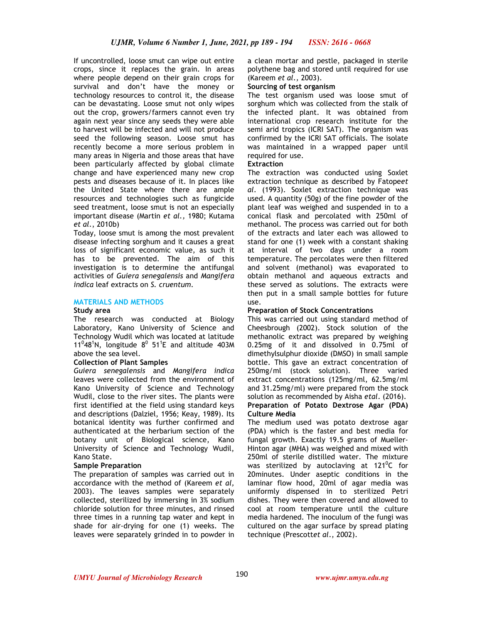If uncontrolled, loose smut can wipe out entire crops, since it replaces the grain. In areas where people depend on their grain crops for survival and don't have the money or technology resources to control it, the disease can be devastating. Loose smut not only wipes out the crop, growers/farmers cannot even try again next year since any seeds they were able to harvest will be infected and will not produce seed the following season. Loose smut has recently become a more serious problem in many areas in Nigeria and those areas that have been particularly affected by global climate change and have experienced many new crop pests and diseases because of it. In places like the United State where there are ample resources and technologies such as fungicide seed treatment, loose smut is not an especially important disease (Martin *et al.,* 1980; Kutama *et al.*, 2010b)

Today, loose smut is among the most prevalent disease infecting sorghum and it causes a great loss of significant economic value, as such it has to be prevented. The aim of this investigation is to determine the antifungal activities of *Guiera senegalensis* and *Mangifera indica* leaf extracts on *S. cruentum.*

### **MATERIALS AND METHODS**

#### **Study area**

The research was conducted at Biology Laboratory, Kano University of Science and Technology Wudil which was located at latitude 11 $^0$ 48<sup>1</sup>N, longitude 8 $^0$  51<sup>1</sup>E and altitude 403M above the sea level.

### **Collection of Plant Samples**

*Guiera senegalensis* and *Mangifera indica* leaves were collected from the environment of Kano University of Science and Technology Wudil, close to the river sites. The plants were first identified at the field using standard keys and descriptions (Dalziel, 1956; Keay, 1989). Its botanical identity was further confirmed and authenticated at the herbarium section of the botany unit of Biological science, Kano University of Science and Technology Wudil, Kano State.

### **Sample Preparation**

The preparation of samples was carried out in accordance with the method of (Kareem *et al,* 2003). The leaves samples were separately collected, sterilized by immersing in 3% sodium chloride solution for three minutes, and rinsed three times in a running tap water and kept in shade for air-drying for one (1) weeks. The leaves were separately grinded in to powder in a clean mortar and pestle, packaged in sterile polythene bag and stored until required for use (Kareem *et al.,* 2003).

### **Sourcing of test organism**

The test organism used was loose smut of sorghum which was collected from the stalk of the infected plant. It was obtained from international crop research institute for the semi arid tropics (ICRI SAT). The organism was confirmed by the ICRI SAT officials. The isolate was maintained in a wrapped paper until required for use.

## **Extraction**

The extraction was conducted using Soxlet extraction technique as described by Fatope*et al.* (1993). Soxlet extraction technique was used. A quantity (50g) of the fine powder of the plant leaf was weighed and suspended in to a conical flask and percolated with 250ml of methanol. The process was carried out for both of the extracts and later each was allowed to stand for one (1) week with a constant shaking at interval of two days under a room temperature. The percolates were then filtered and solvent (methanol) was evaporated to obtain methanol and aqueous extracts and these served as solutions. The extracts were then put in a small sample bottles for future use.

### **Preparation of Stock Concentrations**

This was carried out using standard method of Cheesbrough (2002). Stock solution of the methanolic extract was prepared by weighing 0.25mg of it and dissolved in 0.75ml of dimethylsulphur dioxide (DMSO) in small sample bottle. This gave an extract concentration of 250mg/ml (stock solution). Three varied extract concentrations (125mg/ml, 62.5mg/ml and 31.25mg/ml) were prepared from the stock solution as recommended by Aisha *etal*. (2016). **Preparation of Potato Dextrose Agar (PDA)** 

### **Culture Media**

The medium used was potato dextrose agar (PDA) which is the faster and best media for fungal growth. Exactly 19.5 grams of Mueller-Hinton agar (MHA) was weighed and mixed with 250ml of sterile distilled water. The mixture was sterilized by autoclaving at 121<sup>0</sup>C for 20minutes. Under aseptic conditions in the laminar flow hood, 20ml of agar media was uniformly dispensed in to sterilized Petri dishes. They were then covered and allowed to cool at room temperature until the culture media hardened. The inoculum of the fungi was cultured on the agar surface by spread plating technique (Prescott*et al*., 2002).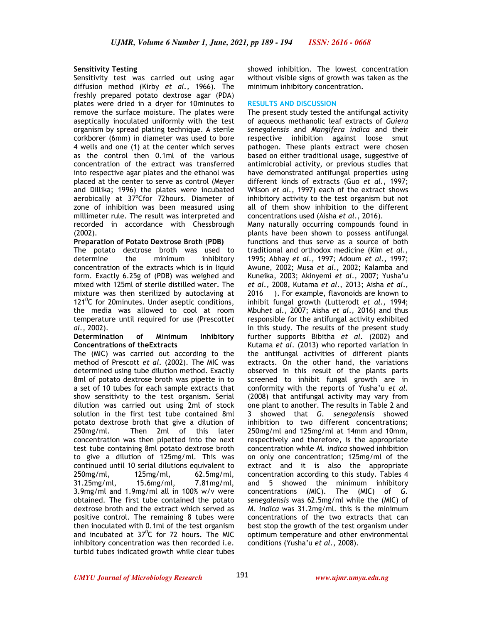# **Sensitivity Testing**

Sensitivity test was carried out using agar diffusion method (Kirby *et al.,* 1966). The freshly prepared potato dextrose agar (PDA) plates were dried in a dryer for 10minutes to remove the surface moisture. The plates were aseptically inoculated uniformly with the test organism by spread plating technique. A sterile corkborer (6mm) in diameter was used to bore 4 wells and one (1) at the center which serves as the control then 0.1ml of the various concentration of the extract was transferred into respective agar plates and the ethanol was placed at the center to serve as control (Meyer and Dillika; 1996) the plates were incubated aerobically at 37°Cfor 72hours. Diameter of zone of inhibition was been measured using millimeter rule. The result was interpreted and recorded in accordance with Chessbrough (2002).

## **Preparation of Potato Dextrose Broth (PDB)**

The potato dextrose broth was used to determine the minimum inhibitory concentration of the extracts which is in liquid form. Exactly 6.25g of (PDB) was weighed and mixed with 125ml of sterile distilled water. The mixture was then sterilized by autoclaving at 121 $^{\circ}$ C for 20minutes. Under aseptic conditions, the media was allowed to cool at room temperature until required for use (Prescott*et al.,* 2002).

### **Determination of Minimum Inhibitory Concentrations of theExtracts**

The (MIC) was carried out according to the method of Prescott *et al*. (2002). The MIC was determined using tube dilution method. Exactly 8ml of potato dextrose broth was pipette in to a set of 10 tubes for each sample extracts that show sensitivity to the test organism. Serial dilution was carried out using 2ml of stock solution in the first test tube contained 8ml potato dextrose broth that give a dilution of 250mg/ml. Then 2ml of this later concentration was then pipetted into the next test tube containing 8ml potato dextrose broth to give a dilution of 125mg/ml. This was continued until 10 serial dilutions equivalent to 250mg/ml, 125mg/ml, 62.5mg/ml, 31.25mg/ml, 15.6mg/ml, 7.81mg/ml, 3.9mg/ml and 1.9mg/ml all in 100% w/v were obtained. The first tube contained the potato dextrose broth and the extract which served as positive control. The remaining 8 tubes were then inoculated with 0.1ml of the test organism and incubated at  $37^{\circ}$ C for 72 hours. The MIC inhibitory concentration was then recorded i.e. turbid tubes indicated growth while clear tubes showed inhibition. The lowest concentration without visible signs of growth was taken as the minimum inhibitory concentration.

## **RESULTS AND DISCUSSION**

The present study tested the antifungal activity of aqueous methanolic leaf extracts of *Guiera senegalensis* and *Mangifera indica* and their respective inhibition against loose smut pathogen. These plants extract were chosen based on either traditional usage, suggestive of antimicrobial activity, or previous studies that have demonstrated antifungal properties using different kinds of extracts (Guo *et al.,* 1997; Wilson *et al.,* 1997) each of the extract shows inhibitory activity to the test organism but not all of them show inhibition to the different concentrations used (Aisha *et al*., 2016).

Many naturally occurring compounds found in plants have been shown to possess antifungal functions and thus serve as a source of both traditional and orthodox medicine (Kim *et al.,* 1995; Abhay *et al.,* 1997; Adoum *et al.,* 1997; Awune, 2002; Musa *et al.,* 2002; Kalamba and Kuneika, 2003; Akinyemi *et al.,* 2007; Yusha'u *et al.,* 2008, Kutama *et al*., 2013; Aisha *et al*., 2016 ). For example, flavonoids are known to inhibit fungal growth (Lutterodt *et al.,* 1994; Mbuh*et al.,* 2007; Aisha *et al*., 2016) and thus responsible for the antifungal activity exhibited in this study. The results of the present study further supports Bibitha *et al.* (2002) and Kutama *et al*. (2013) who reported variation in the antifungal activities of different plants extracts. On the other hand, the variations observed in this result of the plants parts screened to inhibit fungal growth are in conformity with the reports of Yusha'u *et al*. (2008) that antifungal activity may vary from one plant to another. The results in Table 2 and 3 showed that *G. senegalensis* showed inhibition to two different concentrations; 250mg/ml and 125mg/ml at 14mm and 10mm, respectively and therefore, is the appropriate concentration while *M. indica* showed inhibition on only one concentration; 125mg/ml of the extract and it is also the appropriate concentration according to this study. Tables 4 and 5 showed the minimum inhibitory concentrations (MIC). The (MIC) of *G. senegalensis* was 62.5mg/ml while the (MIC) of *M. indica* was 31.2mg/ml. this is the minimum concentrations of the two extracts that can best stop the growth of the test organism under optimum temperature and other environmental conditions (Yusha'u *et al*., 2008).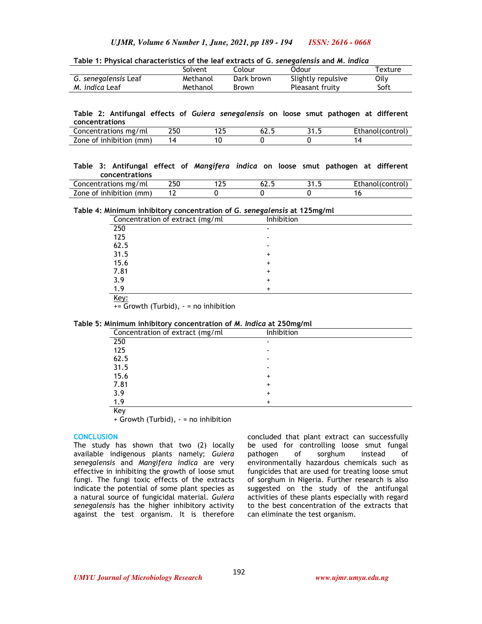**Table 1: Physical characteristics of the leaf extracts of** *G. senegalensis* **and** *M. indica*

|                       | Solvent  | Colour     | Odour              | Texture |
|-----------------------|----------|------------|--------------------|---------|
| G. senegalensis Leaf  | Methanol | Dark brown | Slightly repulsive | Oilv    |
| M. <i>indica</i> Leaf | Methanol | Brown      | Pleasant fruity    | Soft    |

**Table 2: Antifungal effects of** *Guiera senegalensis* **on loose smut pathogen at different concentrations** 

| Concentrations<br>∵mg/ml         | 250 | .  | UL.J | . . | . Ethanol(control |
|----------------------------------|-----|----|------|-----|-------------------|
| (mm)<br>inhibition<br>∠one<br>οt | 4 ا | ٬U |      |     |                   |

#### **Table 3: Antifungal effect of** *Mangifera indica* **on loose smut pathogen at different concentrations**

| Concentrations mg/ml         | 25U | . | Ethanol(control) |
|------------------------------|-----|---|------------------|
| Zone of inhibition /<br>(mm) |     |   |                  |

#### **Table 4: Minimum inhibitory concentration of** *G. senegalensis* **at 125mg/ml**

| Concentration of extract (mg/ml | Inhibition |
|---------------------------------|------------|
| 250                             |            |
| 125                             |            |
| 62.5                            |            |
| 31.5                            |            |
| 15.6                            |            |
| 7.81                            | +          |
| 3.9                             |            |
| 1.9                             |            |
| Key:                            |            |

+= Growth (Turbid), - = no inhibition

## **Table 5: Minimum inhibitory concentration of** *M. Indica* **at 250mg/ml**

| Concentration of extract (mg/ml | Inhibition |  |
|---------------------------------|------------|--|
| 250                             |            |  |
| 125                             |            |  |
| 62.5                            |            |  |
| 31.5                            |            |  |
| 15.6                            | ٠          |  |
| 7.81                            |            |  |
| 3.9                             |            |  |
| 1.9                             | ٠          |  |
| $\overline{V}$ over             |            |  |

Key + Growth (Turbid), - = no inhibition

#### **CONCLUSION**

The study has shown that two (2) locally available indigenous plants namely; *Guiera senegalensis* and *Mangifera indica* are very effective in inhibiting the growth of loose smut fungi. The fungi toxic effects of the extracts indicate the potential of some plant species as a natural source of fungicidal material. *Guiera senegalensis* has the higher inhibitory activity against the test organism. It is therefore

concluded that plant extract can successfully be used for controlling loose smut fungal pathogen of sorghum instead of environmentally hazardous chemicals such as fungicides that are used for treating loose smut of sorghum in Nigeria. Further research is also suggested on the study of the antifungal activities of these plants especially with regard to the best concentration of the extracts that can eliminate the test organism.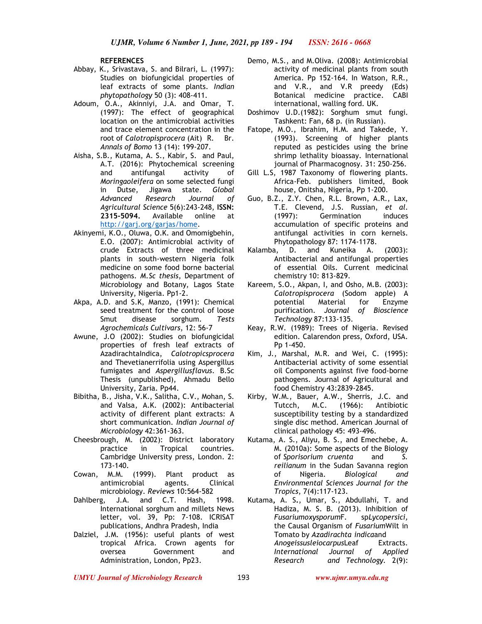**REFERENCES** 

- Abbay, K., Srivastava, S. and Bilrari, L. (1997): Studies on biofungicidal properties of leaf extracts of some plants. *Indian phytopathology* 50 (3): 408-411.
- Adoum, O.A., Akinniyi, J.A. and Omar, T. (1997): The effect of geographical location on the antimicrobial activities and trace element concentration in the root of *Calotropisprocera* (Ait) R. Br. *Annals of Bomo* 13 (14): 199-207.
- Aisha, S.B., Kutama, A. S., Kabir, S. and Paul, A.T. (2016): Phytochemical screening and antifungal activity of *Moringaoleifera* on some selected fungi in Dutse, Jigawa state. *Global Advanced Research Journal of Agricultural Science* 5(6):243-248, **ISSN: 2315-5094.** Available online at http://garj.org/garjas/home.
- Akinyemi, K.O., Oluwa, O.K. and Omomigbehin, E.O. (2007): Antimicrobial activity of crude Extracts of three medicinal plants in south-western Nigeria folk medicine on some food borne bacterial pathogens. *M.Sc thesis*, Department of Microbiology and Botany, Lagos State University, Nigeria. Pp1-2.
- Akpa, A.D. and S.K, Manzo, (1991): Chemical seed treatment for the control of loose Smut disease sorghum. *Tests Agrochemicals Cultivars*, 12: 56-7
- Awune, J.O (2002): Studies on biofungicidal properties of fresh leaf extracts of AzadirachtaIndica, *Calotropicsprocera* and Thevetianerrifolia using Aspergillus fumigates and *Aspergillusflavus*. B.Sc Thesis (unpublished), Ahmadu Bello University, Zaria. Pp44.
- Bibitha, B., Jisha, V.K., Salitha, C.V., Mohan, S. and Valsa, A.K. (2002): Antibacterial activity of different plant extracts: A short communication. *Indian Journal of Microbiology* 42:361-363.
- Cheesbrough, M. (2002): District laboratory practice in Tropical countries. Cambridge University press, London. 2: 173-140.
- Cowan, M.M. (1999). Plant product as antimicrobial agents. Clinical microbiology. *Reviews* 10:564-582
- Dahlberg, J.A. and C.T. Hash, 1998. International sorghum and millets News letter, vol. 39, Pp: 7-108. ICRISAT publications, Andhra Pradesh, India
- Dalziel, J.M. (1956): useful plants of west tropical Africa. Crown agents for oversea Government and Administration, London, Pp23.
- Demo, M.S., and M.Oliva. (2008): Antimicrobial activity of medicinal plants from south America. Pp 152-164. In Watson, R.R., and V.R., and V.R preedy (Eds) Botanical medicine practice. CABI international, walling ford. UK.
- Doshimov U.D.(1982): Sorghum smut fungi. Tashkent: Fan, 68 p. (in Russian).
- Fatope, M.O., Ibrahim, H.M. and Takede, Y. (1993). Screening of higher plants reputed as pesticides using the brine shrimp lethality bioassay. International journal of Pharmacognosy. 31: 250-256.
- Gill L.S, 1987 Taxonomy of flowering plants. Africa-Feb. publishers limited, Book house, Onitsha, Nigeria, Pp 1-200.
- Guo, B.Z., Z.Y. Chen, R.L. Brown, A.R., Lax, T.E. Clevend, J.S. Russian, *et al.* (1997): Germination induces accumulation of specific proteins and antifungal activities in corn kernels. Phytopathology 87: 1174-1178.
- Kalamba, D. and Kuneika A. (2003): Antibacterial and antifungal properties of essential Oils. Current medicinal chemistry 10: 813-829.
- Kareem, S.O., Akpan, I, and Osho, M.B. (2003): *Calotropisprocera* (Sodom apple) A potential Material for Enzyme purification. *Journal of Bioscience Technology* 87:133-135.
- Keay, R.W. (1989): Trees of Nigeria. Revised edition. Calarendon press, Oxford, USA. Pp 1-450.
- Kim, J., Marshal, M.R. and Wei, C. (1995): Antibacterial activity of some essential oil Components against five food-borne pathogens. Journal of Agricultural and food Chemistry 43:2839-2845.
- Kirby, W.M., Bauer, A.W., Sherris, J.C. and Tutcch, M.C. (1966): Antibiotic susceptibility testing by a standardized single disc method. American Journal of clinical pathology 45: 493-496.
- Kutama, A. S., Aliyu, B. S., and Emechebe, A. M. (2010a): Some aspects of the Biology of *Sporisorium cruenta* and *S. reilianum* in the Sudan Savanna region of Nigeria. *Biological and Environmental Sciences Journal for the Tropics*, 7(4):117-123.
- Kutama**,** A. S**.**, Umar, S., Abdullahi, T. and Hadiza, M. S. B. (2013). Inhibition of *Fusariumoxysporum*F*.* sp*Lycopersici,*  the Causal Organism of *Fusarium*Wilt in Tomato by *Azadirachta indica*and *Anogeissusleiocarpus*Leaf Extracts. *International Journal of Applied Research and Technology.* 2(9):

*UMYU Journal of Microbiology Research www.ujmr.umyu.edu.ng*